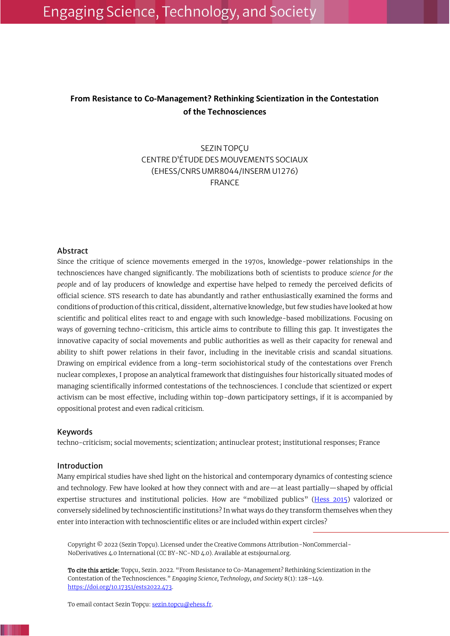# **From Resistance to Co-Management? Rethinking Scientization in the Contestation of the Technosciences**

SEZIN TOPÇU CENTRE D'ÉTUDE DES MOUVEMENTS SOCIAUX (EHESS/CNRS UMR8044/INSERM U1276) FRANCE

## Abstract

Since the critique of science movements emerged in the 1970s, knowledge-power relationships in the technosciences have changed significantly. The mobilizations both of scientists to produce *science for the people* and of lay producers of knowledge and expertise have helped to remedy the perceived deficits of official science. STS research to date has abundantly and rather enthusiastically examined the forms and conditions of production of this critical, dissident, alternative knowledge, but few studies have looked at how scientific and political elites react to and engage with such knowledge-based mobilizations. Focusing on ways of governing techno-criticism, this article aims to contribute to filling this gap. It investigates the innovative capacity of social movements and public authorities as well as their capacity for renewal and ability to shift power relations in their favor, including in the inevitable crisis and scandal situations. Drawing on empirical evidence from a long-term sociohistorical study of the contestations over French nuclear complexes, I propose an analytical framework that distinguishes four historically situated modes of managing scientifically informed contestations of the technosciences. I conclude that scientized or expert activism can be most effective, including within top-down participatory settings, if it is accompanied by oppositional protest and even radical criticism.

#### Keywords

techno-criticism; social movements; scientization; antinuclear protest; institutional responses; France

#### **Introduction**

Many empirical studies have shed light on the historical and contemporary dynamics of contesting science and technology. Few have looked at how they connect with and are—at least partially—shaped by official expertise structures and institutional policies. How are "mobilized publics" [\(Hess 2015\)](#page-18-0) valorized or conversely sidelined by technoscientific institutions? In what ways do they transform themselves when they enter into interaction with technoscientific elites or are included within expert circles?

Copyright © 2022 (Sezin Topçu). Licensed under the Creative Commons Attribution-NonCommercial-NoDerivatives 4.0 International (CC BY-NC-ND 4.0). Available at estsjournal.org.

To cite this article: Topçu, Sezin. 2022. "From Resistance to Co-Management? Rethinking Scientization in the Contestation of the Technosciences." *Engaging Science, Technology, and Society* 8(1): 128–149. [https://doi.org/10.17351/ests2022.473.](https://doi.org/10.17351/ests2022.473)

To email contact Sezin Topçu[: sezin.topcu@ehess.fr.](mailto:sezin.topcu@ehess.fr)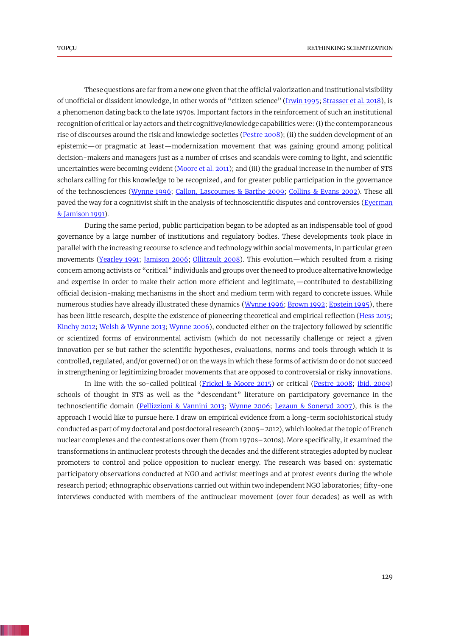<span id="page-1-16"></span><span id="page-1-14"></span><span id="page-1-7"></span>These questions are far from a new one given that the official valorization and institutional visibility of unofficial or dissident knowledge, in other words of "citizen science" [\(Irwin 1995;](#page-18-1) [Strasser et al. 2018\)](#page-20-0), is a phenomenon dating back to the late 1970s. Important factors in the reinforcement of such an institutional recognition of critical or lay actors and their cognitive/knowledge capabilities were: (i) the contemporaneous rise of discourses around the risk and knowledge societies [\(Pestre 2008\)](#page-20-1); (ii) the sudden development of an epistemic—or pragmatic at least—modernization movement that was gaining ground among political decision-makers and managers just as a number of crises and scandals were coming to light, and scientific uncertainties were becoming evident [\(Moore et al. 2011\)](#page-19-0); and (iii) the gradual increase in the number of STS scholars calling for this knowledge to be recognized, and for greater public participation in the governance of the technosciences [\(Wynne 1996;](#page-20-2) [Callon, Lascoumes & Barthe 2009;](#page-17-0) [Collins & Evans 2002\)](#page-17-1). These all paved the way for a cognitivist shift in the analysis of technoscientific disputes and controversies (Everman [& Jamison 1991\)](#page-18-2).

<span id="page-1-20"></span><span id="page-1-18"></span><span id="page-1-12"></span><span id="page-1-11"></span><span id="page-1-8"></span><span id="page-1-4"></span><span id="page-1-3"></span><span id="page-1-2"></span><span id="page-1-1"></span><span id="page-1-0"></span>During the same period, public participation began to be adopted as an indispensable tool of good governance by a large number of institutions and regulatory bodies. These developments took place in parallel with the increasing recourse to science and technology within social movements, in particular green movements [\(Yearley 1991;](#page-21-0) [Jamison 2006;](#page-19-1) [Ollitrault 2008\)](#page-19-2). This evolution—which resulted from a rising concern among activists or "critical" individuals and groups over the need to produce alternative knowledge and expertise in order to make their action more efficient and legitimate,—contributed to destabilizing official decision-making mechanisms in the short and medium term with regard to concrete issues. While numerous studies have already illustrated these dynamics [\(Wynne 1996;](#page-20-2) [Brown 1992;](#page-17-2) [Epstein 1995\)](#page-17-3), there has been little research, despite the existence of pioneering theoretical and empirical reflection [\(Hess 2015;](#page-18-0) [Kinchy 2012;](#page-19-3) [Welsh & Wynne 2013;](#page-20-3) [Wynne 2006\)](#page-21-1), conducted either on the trajectory followed by scientific or scientized forms of environmental activism (which do not necessarily challenge or reject a given innovation per se but rather the scientific hypotheses, evaluations, norms and tools through which it is controlled, regulated, and/or governed) or on the ways in which these forms of activism do or do not succeed in strengthening or legitimizing broader movements that are opposed to controversial or risky innovations.

<span id="page-1-19"></span><span id="page-1-17"></span><span id="page-1-15"></span><span id="page-1-13"></span><span id="page-1-10"></span><span id="page-1-9"></span><span id="page-1-6"></span><span id="page-1-5"></span>In line with the so-called political [\(Frickel & Moore 2015\)](#page-18-3) or critical [\(Pestre 2008;](#page-20-1) [ibid. 2009\)](#page-20-4) schools of thought in STS as well as the "descendant" literature on participatory governance in the technoscientific domain [\(Pellizzioni](#page-20-5) & Vannini 2013; [Wynne 2006;](#page-21-1) [Lezaun & Soneryd 2007\)](#page-19-4), this is the approach I would like to pursue here. I draw on empirical evidence from a long-term sociohistorical study conducted as part of my doctoral and postdoctoral research (2005–2012), which looked at the topic of French nuclear complexes and the contestations over them (from 1970s–2010s). More specifically, it examined the transformations in antinuclear protests through the decades and the different strategies adopted by nuclear promoters to control and police opposition to nuclear energy. The research was based on: systematic participatory observations conducted at NGO and activist meetings and at protest events during the whole research period; ethnographic observations carried out within two independent NGO laboratories; fifty-one interviews conducted with members of the antinuclear movement (over four decades) as well as with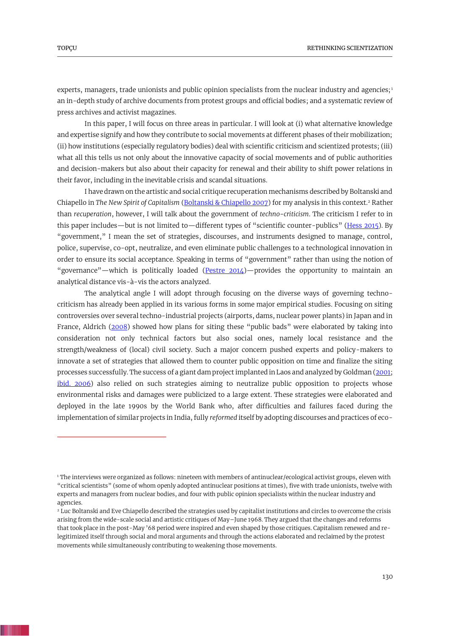experts, managers, trade unionists and public opinion specialists from the nuclear industry and agencies; $<sup>1</sup>$ </sup> an in-depth study of archive documents from protest groups and official bodies; and a systematic review of press archives and activist magazines.

In this paper, I will focus on three areas in particular. I will look at (i) what alternative knowledge and expertise signify and how they contribute to social movements at different phases of their mobilization; (ii) how institutions (especially regulatory bodies) deal with scientific criticism and scientized protests; (iii) what all this tells us not only about the innovative capacity of social movements and of public authorities and decision-makers but also about their capacity for renewal and their ability to shift power relations in their favor, including in the inevitable crisis and scandal situations.

<span id="page-2-1"></span>I have drawn on the artistic and social critique recuperation mechanisms described by Boltanski and Chiapello in *The New Spirit of Capitalism* [\(Boltanski & Chiapello 2007\)](#page-17-4) for my analysis in this context.<sup>2</sup> Rather than *recuperation*, however, I will talk about the government of *techno-criticism*. The criticism I refer to in this paper includes—but is not limited to—different types of "scientific counter-publics" [\(Hess 2015\)](#page-18-0). By "government," I mean the set of strategies, discourses, and instruments designed to manage, control, police, supervise, co-opt, neutralize, and even eliminate public challenges to a technological innovation in order to ensure its social acceptance. Speaking in terms of "government" rather than using the notion of "governance"—which is politically loaded (Pestre  $2014$ )—provides the opportunity to maintain an analytical distance vis-à-vis the actors analyzed.

<span id="page-2-4"></span><span id="page-2-3"></span><span id="page-2-2"></span><span id="page-2-0"></span>The analytical angle I will adopt through focusing on the diverse ways of governing technocriticism has already been applied in its various forms in some major empirical studies. Focusing on siting controversies over several techno-industrial projects (airports, dams, nuclear power plants) in Japan and in France, Aldrich [\(2008\)](#page-17-5) showed how plans for siting these "public bads" were elaborated by taking into consideration not only technical factors but also social ones, namely local resistance and the strength/weakness of (local) civil society. Such a major concern pushed experts and policy-makers to innovate a set of strategies that allowed them to counter public opposition on time and finalize the siting processes successfully. The success of a giant dam project implanted in Laos and analyzed by Goldman [\(2001;](#page-18-4) [ibid. 2006\)](#page-18-5) also relied on such strategies aiming to neutralize public opposition to projects whose environmental risks and damages were publicized to a large extent. These strategies were elaborated and deployed in the late 1990s by the World Bank who, after difficulties and failures faced during the implementation of similar projects in India, fully *reformed* itself by adopting discourses and practices of eco-

<sup>1</sup> The interviews were organized as follows: nineteen with members of antinuclear/ecological activist groups, eleven with "critical scientists" (some of whom openly adopted antinuclear positions at times), five with trade unionists, twelve with experts and managers from nuclear bodies, and four with public opinion specialists within the nuclear industry and agencies.

<sup>&</sup>lt;sup>2</sup> Luc Boltanski and Eve Chiapello described the strategies used by capitalist institutions and circles to overcome the crisis arising from the wide-scale social and artistic critiques of May–June 1968. They argued that the changes and reforms that took place in the post-May '68 period were inspired and even shaped by those critiques. Capitalism renewed and relegitimized itself through social and moral arguments and through the actions elaborated and reclaimed by the protest movements while simultaneously contributing to weakening those movements.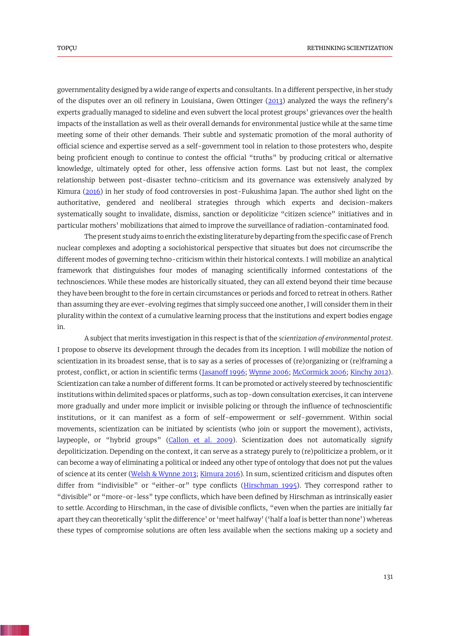<span id="page-3-4"></span>governmentality designed by a wide range of experts and consultants. In a different perspective, in her study of the disputes over an oil refinery in Louisiana, Gwen Ottinger [\(2013\)](#page-19-5) analyzed the ways the refinery's experts gradually managed to sideline and even subvert the local protest groups' grievances over the health impacts of the installation as well as their overall demands for environmental justice while at the same time meeting some of their other demands. Their subtle and systematic promotion of the moral authority of official science and expertise served as a self-government tool in relation to those protesters who, despite being proficient enough to continue to contest the official "truths" by producing critical or alternative knowledge, ultimately opted for other, less offensive action forms. Last but not least, the complex relationship between post-disaster techno-criticism and its governance was extensively analyzed by Kimura [\(2016\)](#page-19-6) in her study of food controversies in post-Fukushima Japan. The author shed light on the authoritative, gendered and neoliberal strategies through which experts and decision-makers systematically sought to invalidate, dismiss, sanction or depoliticize "citizen science" initiatives and in particular mothers' mobilizations that aimed to improve the surveillance of radiation-contaminated food.

<span id="page-3-2"></span>The present study aims to enrich the existing literature by departing from the specific case of French nuclear complexes and adopting a sociohistorical perspective that situates but does not circumscribe the different modes of governing techno-criticism within their historical contexts. I will mobilize an analytical framework that distinguishes four modes of managing scientifically informed contestations of the technosciences. While these modes are historically situated, they can all extend beyond their time because they have been brought to the fore in certain circumstances or periods and forced to retreat in others. Rather than assuming they are ever-evolving regimes that simply succeed one another, I will consider them in their plurality within the context of a cumulative learning process that the institutions and expert bodies engage in.

<span id="page-3-3"></span><span id="page-3-1"></span><span id="page-3-0"></span>A subject that merits investigation in this respect is that of the *scientization of environmental protest*. I propose to observe its development through the decades from its inception. I will mobilize the notion of scientization in its broadest sense, that is to say as a series of processes of (re)organizing or (re)framing a protest, conflict, or action in scientific terms [\(Jasanoff 1996;](#page-19-7) [Wynne 2006;](#page-21-1) [McCormick 2006;](#page-19-8) [Kinchy 2012\)](#page-19-3). Scientization can take a number of different forms. It can be promoted or actively steered by technoscientific institutions within delimited spaces or platforms, such as top-down consultation exercises, it can intervene more gradually and under more implicit or invisible policing or through the influence of technoscientific institutions, or it can manifest as a form of self-empowerment or self-government. Within social movements, scientization can be initiated by scientists (who join or support the movement), activists, laypeople, or "hybrid groups" [\(Callon et al. 2009\)](#page-17-0). Scientization does not automatically signify depoliticization. Depending on the context, it can serve as a strategy purely to (re)politicize a problem, or it can become a way of eliminating a political or indeed any other type of ontology that does not put the values of science at its center [\(Welsh & Wynne 2013;](#page-20-3) [Kimura 2016\)](#page-19-6). In sum, scientized criticism and disputes often differ from "indivisible" or "either-or" type conflicts [\(Hirschman 1995\)](#page-18-6). They correspond rather to "divisible" or "more-or-less" type conflicts, which have been defined by Hirschman as intrinsically easier to settle. According to Hirschman, in the case of divisible conflicts, "even when the parties are initially far apart they can theoretically 'split the difference' or 'meet halfway' ('half a loaf is better than none') whereas these types of compromise solutions are often less available when the sections making up a society and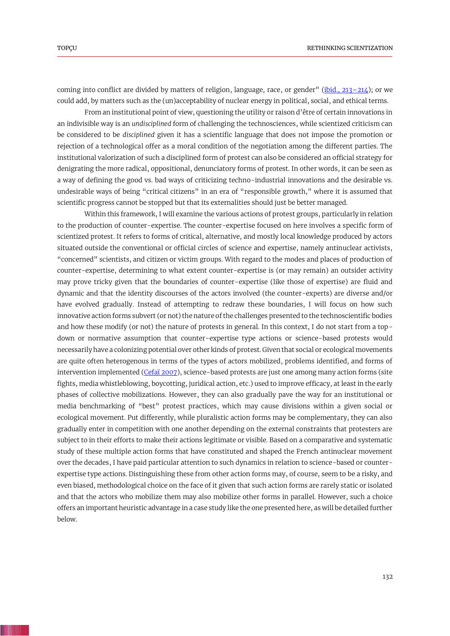coming into conflict are divided by matters of religion, language, race, or gender" [\(ibid.,](#page-18-6) 213–214); or we could add, by matters such as the (un)acceptability of nuclear energy in political, social, and ethical terms.

From an institutional point of view, questioning the utility or raison d'être of certain innovations in an indivisible way is an *undisciplined* form of challenging the technosciences, while scientized criticism can be considered to be *disciplined* given it has a scientific language that does not impose the promotion or rejection of a technological offer as a moral condition of the negotiation among the different parties. The institutional valorization of such a disciplined form of protest can also be considered an official strategy for denigrating the more radical, oppositional, denunciatory forms of protest. In other words, it can be seen as a way of defining the good vs. bad ways of criticizing techno-industrial innovations and the desirable vs. undesirable ways of being "critical citizens" in an era of "responsible growth," where it is assumed that scientific progress cannot be stopped but that its externalities should just be better managed.

<span id="page-4-0"></span>Within this framework, I will examine the various actions of protest groups, particularly in relation to the production of counter-expertise. The counter-expertise focused on here involves a specific form of scientized protest. It refers to forms of critical, alternative, and mostly local knowledge produced by actors situated outside the conventional or official circles of science and expertise, namely antinuclear activists, "concerned" scientists, and citizen or victim groups. With regard to the modes and places of production of counter-expertise, determining to what extent counter-expertise is (or may remain) an outsider activity may prove tricky given that the boundaries of counter-expertise (like those of expertise) are fluid and dynamic and that the identity discourses of the actors involved (the counter-experts) are diverse and/or have evolved gradually. Instead of attempting to redraw these boundaries, I will focus on how such innovative action forms subvert (or not) the nature of the challenges presented to the technoscientific bodies and how these modify (or not) the nature of protests in general. In this context, I do not start from a topdown or normative assumption that counter-expertise type actions or science-based protests would necessarily have a colonizing potential over other kinds of protest. Given that social or ecological movements are quite often heterogenous in terms of the types of actors mobilized, problems identified, and forms of intervention implemented [\(Cefaï 2007\)](#page-17-6), science-based protests are just one among many action forms (site fights, media whistleblowing, boycotting, juridical action, etc.) used to improve efficacy, at least in the early phases of collective mobilizations. However, they can also gradually pave the way for an institutional or media benchmarking of "best" protest practices, which may cause divisions within a given social or ecological movement. Put differently, while pluralistic action forms may be complementary, they can also gradually enter in competition with one another depending on the external constraints that protesters are subject to in their efforts to make their actions legitimate or visible. Based on a comparative and systematic study of these multiple action forms that have constituted and shaped the French antinuclear movement over the decades, I have paid particular attention to such dynamics in relation to science-based or counterexpertise type actions. Distinguishing these from other action forms may, of course, seem to be a risky, and even biased, methodological choice on the face of it given that such action forms are rarely static or isolated and that the actors who mobilize them may also mobilize other forms in parallel. However, such a choice offers an important heuristic advantage in a case study like the one presented here, as will be detailed further below.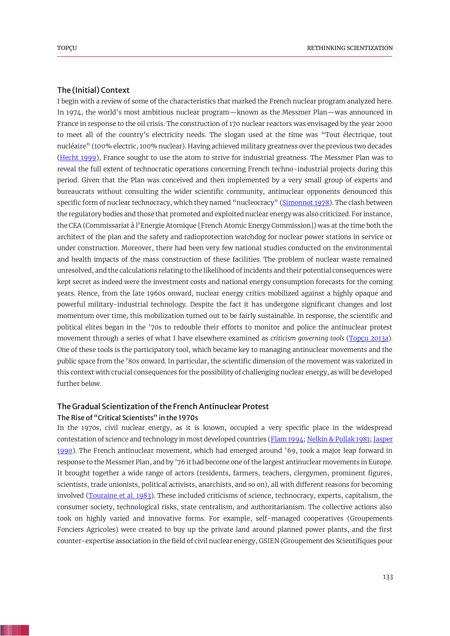## The (Initial) Context

<span id="page-5-6"></span><span id="page-5-1"></span>I begin with a review of some of the characteristics that marked the French nuclear program analyzed here. In 1974, the world's most ambitious nuclear program—known as the Messmer Plan—was announced in France in response to the oil crisis. The construction of 170 nuclear reactors was envisaged by the year 2000 to meet all of the country's electricity needs. The slogan used at the time was "Tout électrique, tout nucléaire" (100% electric, 100% nuclear). Having achieved military greatness over the previous two decades [\(Hecht 1999\)](#page-18-7), France sought to use the atom to strive for industrial greatness. The Messmer Plan was to reveal the full extent of technocratic operations concerning French techno-industrial projects during this period. Given that the Plan was conceived and then implemented by a very small group of experts and bureaucrats without consulting the wider scientific community, antinuclear opponents denounced this specific form of nuclear technocracy, which they named "nucleocracy" [\(Simonnot 1978\)](#page-20-7). The clash between the regulatory bodies and those that promoted and exploited nuclear energy was also criticized. For instance, the CEA (Commissariat à l'Energie Atomique [French Atomic Energy Commission]) was at the time both the architect of the plan and the safety and radioprotection watchdog for nuclear power stations in service or under construction. Moreover, there had been very few national studies conducted on the environmental and health impacts of the mass construction of these facilities. The problem of nuclear waste remained unresolved, and the calculations relating to the likelihood of incidents and their potential consequences were kept secret as indeed were the investment costs and national energy consumption forecasts for the coming years. Hence, from the late 1960s onward, nuclear energy critics mobilized against a highly opaque and powerful military-industrial technology. Despite the fact it has undergone significant changes and lost momentum over time, this mobilization turned out to be fairly sustainable. In response, the scientific and political elites began in the '70s to redouble their efforts to monitor and police the antinuclear protest movement through a series of what I have elsewhere examined as *criticism governing tools* [\(Topçu 2013a\)](#page-20-8). One of these tools is the participatory tool, which became key to managing antinuclear movements and the public space from the '80s onward. In particular, the scientific dimension of the movement was valorized in this context with crucial consequences for the possibility of challenging nuclear energy, as will be developed further below.

## <span id="page-5-4"></span>The Gradual Scientization of the French Antinuclear Protest

# The Rise of "Critical Scientists" in the 1970s

<span id="page-5-5"></span><span id="page-5-3"></span><span id="page-5-2"></span><span id="page-5-0"></span>In the 1970s, civil nuclear energy, as it is known, occupied a very specific place in the widespread contestation of science and technology in most developed countries [\(Flam 1994;](#page-18-8) [Nelkin & Pollak 1981;](#page-19-9) Jasper [1990\)](#page-19-10). The French antinuclear movement, which had emerged around '69, took a major leap forward in response to the Messmer Plan, and by '76 it had become one of the largest antinuclear movements in Europe. It brought together a wide range of actors (residents, farmers, teachers, clergymen, prominent figures, scientists, trade unionists, political activists, anarchists, and so on), all with different reasons for becoming involved [\(Touraine et al. 1983\)](#page-20-9). These included criticisms of science, technocracy, experts, capitalism, the consumer society, technological risks, state centralism, and authoritarianism. The collective actions also took on highly varied and innovative forms. For example, self-managed cooperatives (Groupements Fonciers Agricoles) were created to buy up the private land around planned power plants, and the first counter-expertise association in the field of civil nuclear energy, GSIEN (Groupement des Scientifiques pour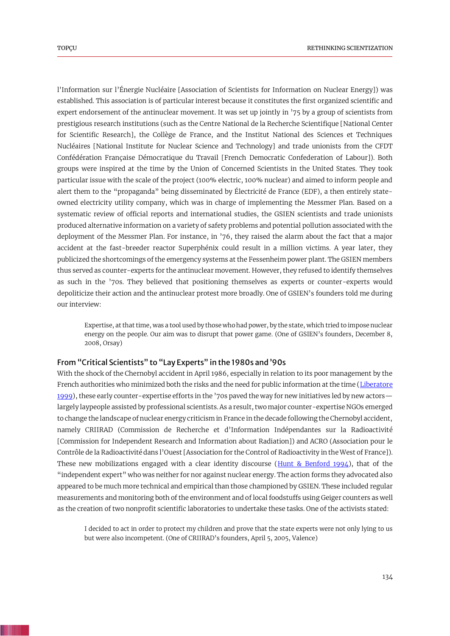l'Information sur l'Énergie Nucléaire [Association of Scientists for Information on Nuclear Energy]) was established. This association is of particular interest because it constitutes the first organized scientific and expert endorsement of the antinuclear movement. It was set up jointly in '75 by a group of scientists from prestigious research institutions (such as the Centre National de la Recherche Scientifique [National Center for Scientific Research], the Collège de France, and the Institut National des Sciences et Techniques Nucléaires [National Institute for Nuclear Science and Technology] and trade unionists from the CFDT Confédération Française Démocratique du Travail [French Democratic Confederation of Labour]). Both groups were inspired at the time by the Union of Concerned Scientists in the United States. They took particular issue with the scale of the project (100% electric, 100% nuclear) and aimed to inform people and alert them to the "propaganda" being disseminated by Électricité de France (EDF), a then entirely stateowned electricity utility company, which was in charge of implementing the Messmer Plan. Based on a systematic review of official reports and international studies, the GSIEN scientists and trade unionists produced alternative information on a variety of safety problems and potential pollution associated with the deployment of the Messmer Plan. For instance, in '76, they raised the alarm about the fact that a major accident at the fast-breeder reactor Superphénix could result in a million victims. A year later, they publicized the shortcomings of the emergency systems at the Fessenheim power plant. The GSIEN members thus served as counter-experts for the antinuclear movement. However, they refused to identify themselves as such in the '70s. They believed that positioning themselves as experts or counter-experts would depoliticize their action and the antinuclear protest more broadly. One of GSIEN's founders told me during our interview:

<span id="page-6-1"></span>Expertise, at that time, was a tool used by those who had power, by the state, which tried to impose nuclear energy on the people. Our aim was to disrupt that power game. (One of GSIEN's founders, December 8, 2008, Orsay)

# From "Critical Scientists" to "Lay Experts" in the 1980s and '90s

With the shock of the Chernobyl accident in April 1986, especially in relation to its poor management by the French authorities who minimized both the risks and the need for public information at the time (Liberatore [1999\)](#page-19-11), these early counter-expertise efforts in the '70s paved the way for new initiatives led by new actors largely laypeople assisted by professional scientists. As a result, two major counter-expertise NGOs emerged to change the landscape of nuclear energy criticism in France in the decade following the Chernobyl accident, namely CRIIRAD (Commission de Recherche et d'Information Indépendantes sur la Radioactivité [Commission for Independent Research and Information about Radiation]) and ACRO (Association pour le Contrôle de la Radioactivité dans l'Ouest [Association for the Control of Radioactivity in the West of France]). These new mobilizations engaged with a clear identity discourse (Hunt  $\&$  Benford 1994), that of the "independent expert" who was neither for nor against nuclear energy. The action forms they advocated also appeared to be much more technical and empirical than those championed by GSIEN. These included regular measurements and monitoring both of the environment and of local foodstuffs using Geiger counters as well as the creation of two nonprofit scientific laboratories to undertake these tasks. One of the activists stated:

<span id="page-6-0"></span>I decided to act in order to protect my children and prove that the state experts were not only lying to us but were also incompetent. (One of CRIIRAD's founders, April 5, 2005, Valence)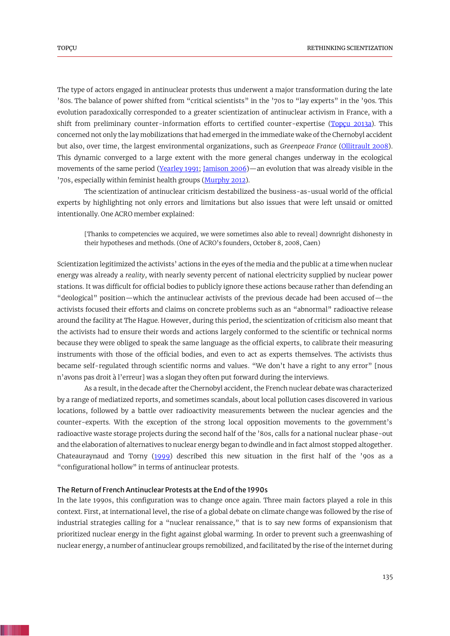The type of actors engaged in antinuclear protests thus underwent a major transformation during the late '80s. The balance of power shifted from "critical scientists" in the '70s to "lay experts" in the '90s. This evolution paradoxically corresponded to a greater scientization of antinuclear activism in France, with a shift from preliminary counter-information efforts to certified counter-expertise [\(Topçu 2013a\)](#page-20-8). This concerned not only the lay mobilizations that had emerged in the immediate wake of the Chernobyl accident but also, over time, the largest environmental organizations, such as *Greenpeace France* [\(Ollitrault 2008\)](#page-19-2). This dynamic converged to a large extent with the more general changes underway in the ecological movements of the same period [\(Yearley 1991;](#page-21-0) [Jamison 2006\)](#page-19-1)—an evolution that was already visible in the '70s, especially within feminist health groups [\(Murphy 2012\)](#page-19-12).

The scientization of antinuclear criticism destabilized the business-as-usual world of the official experts by highlighting not only errors and limitations but also issues that were left unsaid or omitted intentionally. One ACRO member explained:

<span id="page-7-1"></span>[Thanks to competencies we acquired, we were sometimes also able to reveal] downright dishonesty in their hypotheses and methods. (One of ACRO's founders, October 8, 2008, Caen)

Scientization legitimized the activists' actions in the eyes of the media and the public at a time when nuclear energy was already a *reality*, with nearly seventy percent of national electricity supplied by nuclear power stations. It was difficult for official bodies to publicly ignore these actions because rather than defending an "deological" position—which the antinuclear activists of the previous decade had been accused of—the activists focused their efforts and claims on concrete problems such as an "abnormal" radioactive release around the facility at The Hague. However, during this period, the scientization of criticism also meant that the activists had to ensure their words and actions largely conformed to the scientific or technical norms because they were obliged to speak the same language as the official experts, to calibrate their measuring instruments with those of the official bodies, and even to act as experts themselves. The activists thus became self-regulated through scientific norms and values. "We don't have a right to any error" [nous n'avons pas droit à l'erreur] was a slogan they often put forward during the interviews.

As a result, in the decade after the Chernobyl accident, the French nuclear debate was characterized by a range of mediatized reports, and sometimes scandals, about local pollution cases discovered in various locations, followed by a battle over radioactivity measurements between the nuclear agencies and the counter-experts. With the exception of the strong local opposition movements to the government's radioactive waste storage projects during the second half of the '80s, calls for a national nuclear phase-out and the elaboration of alternatives to nuclear energy began to dwindle and in fact almost stopped altogether. Chateauraynaud and Torny [\(1999\)](#page-17-7) described this new situation in the first half of the '90s as a "configurational hollow" in terms of antinuclear protests.

## <span id="page-7-0"></span>The Return of French Antinuclear Protests at the End of the 1990s

In the late 1990s, this configuration was to change once again. Three main factors played a role in this context. First, at international level, the rise of a global debate on climate change was followed by the rise of industrial strategies calling for a "nuclear renaissance," that is to say new forms of expansionism that prioritized nuclear energy in the fight against global warming. In order to prevent such a greenwashing of nuclear energy, a number of antinuclear groups remobilized, and facilitated by the rise of the internet during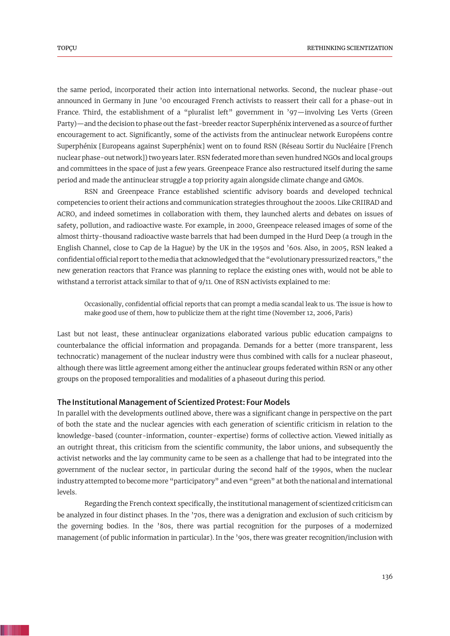the same period, incorporated their action into international networks. Second, the nuclear phase-out announced in Germany in June '00 encouraged French activists to reassert their call for a phase-out in France. Third, the establishment of a "pluralist left" government in '97—involving Les Verts (Green Party)—and the decision to phase out the fast-breeder reactor Superphénix intervened as a source of further encouragement to act. Significantly, some of the activists from the antinuclear network Européens contre Superphénix [Europeans against Superphénix] went on to found RSN (Réseau Sortir du Nucléaire [French nuclear phase-out network]) two years later. RSN federated more than seven hundred NGOs and local groups and committees in the space of just a few years. Greenpeace France also restructured itself during the same period and made the antinuclear struggle a top priority again alongside climate change and GMOs.

RSN and Greenpeace France established scientific advisory boards and developed technical competencies to orient their actions and communication strategies throughout the 2000s. Like CRIIRAD and ACRO, and indeed sometimes in collaboration with them, they launched alerts and debates on issues of safety, pollution, and radioactive waste. For example, in 2000, Greenpeace released images of some of the almost thirty-thousand radioactive waste barrels that had been dumped in the Hurd Deep (a trough in the English Channel, close to Cap de la Hague) by the UK in the 1950s and '60s. Also, in 2005, RSN leaked a confidential official report to the media that acknowledged that the "evolutionary pressurized reactors," the new generation reactors that France was planning to replace the existing ones with, would not be able to withstand a terrorist attack similar to that of 9/11. One of RSN activists explained to me:

Occasionally, confidential official reports that can prompt a media scandal leak to us. The issue is how to make good use of them, how to publicize them at the right time (November 12, 2006, Paris)

Last but not least, these antinuclear organizations elaborated various public education campaigns to counterbalance the official information and propaganda. Demands for a better (more transparent, less technocratic) management of the nuclear industry were thus combined with calls for a nuclear phaseout, although there was little agreement among either the antinuclear groups federated within RSN or any other groups on the proposed temporalities and modalities of a phaseout during this period.

## The Institutional Management of Scientized Protest: Four Models

In parallel with the developments outlined above, there was a significant change in perspective on the part of both the state and the nuclear agencies with each generation of scientific criticism in relation to the knowledge-based (counter-information, counter-expertise) forms of collective action. Viewed initially as an outright threat, this criticism from the scientific community, the labor unions, and subsequently the activist networks and the lay community came to be seen as a challenge that had to be integrated into the government of the nuclear sector, in particular during the second half of the 1990s, when the nuclear industry attempted to become more "participatory" and even "green" at both the national and international levels.

Regarding the French context specifically, the institutional management of scientized criticism can be analyzed in four distinct phases. In the '70s, there was a denigration and exclusion of such criticism by the governing bodies. In the '80s, there was partial recognition for the purposes of a modernized management (of public information in particular). In the '90s, there was greater recognition/inclusion with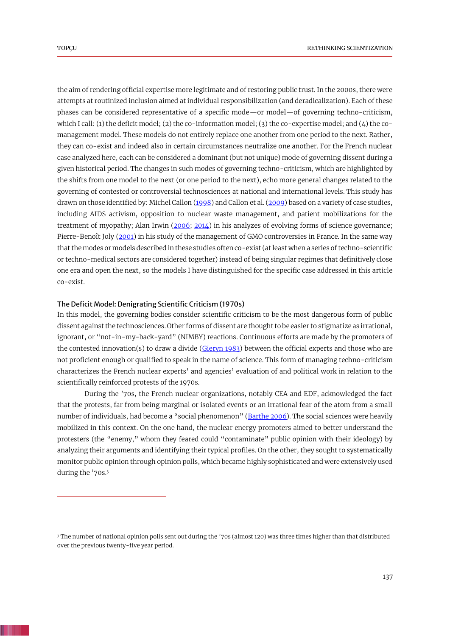the aim of rendering official expertise more legitimate and of restoring public trust. In the 2000s, there were attempts at routinized inclusion aimed at individual responsibilization (and deradicalization). Each of these phases can be considered representative of a specific mode—or model—of governing techno-criticism, which I call: (1) the deficit model; (2) the co-information model; (3) the co-expertise model; and (4) the comanagement model. These models do not entirely replace one another from one period to the next. Rather, they can co-exist and indeed also in certain circumstances neutralize one another. For the French nuclear case analyzed here, each can be considered a dominant (but not unique) mode of governing dissent during a given historical period. The changes in such modes of governing techno-criticism, which are highlighted by the shifts from one model to the next (or one period to the next), echo more general changes related to the governing of contested or controversial technosciences at national and international levels. This study has drawn on those identified by: Michel Callon [\(1998\)](#page-17-8) and Callon et al. [\(2009\)](#page-17-0) based on a variety of case studies, including AIDS activism, opposition to nuclear waste management, and patient mobilizations for the treatment of myopathy; Alan Irwin [\(2006;](#page-18-10) [2014\)](#page-18-11) in his analyzes of evolving forms of science governance; Pierre-Benoît Joly [\(2001\)](#page-19-13) in his study of the management of GMO controversies in France. In the same way that the modes or models described in these studies often co-exist (at least when a series of techno-scientific or techno-medical sectors are considered together) instead of being singular regimes that definitively close one era and open the next, so the models I have distinguished for the specific case addressed in this article co-exist.

# <span id="page-9-5"></span><span id="page-9-4"></span><span id="page-9-3"></span><span id="page-9-1"></span>The Deficit Model: Denigrating Scientific Criticism (1970s)

<span id="page-9-2"></span>In this model, the governing bodies consider scientific criticism to be the most dangerous form of public dissent against the technosciences. Other forms of dissent are thought to be easier to stigmatize as irrational, ignorant, or "not-in-my-back-yard" (NIMBY) reactions. Continuous efforts are made by the promoters of the contested innovation(s) to draw a divide [\(Gieryn 1983\)](#page-18-12) between the official experts and those who are not proficient enough or qualified to speak in the name of science. This form of managing techno-criticism characterizes the French nuclear experts' and agencies' evaluation of and political work in relation to the scientifically reinforced protests of the 1970s.

<span id="page-9-0"></span>During the '70s, the French nuclear organizations, notably CEA and EDF, acknowledged the fact that the protests, far from being marginal or isolated events or an irrational fear of the atom from a small number of individuals, had become a "social phenomenon" [\(Barthe 2006\)](#page-17-9). The social sciences were heavily mobilized in this context. On the one hand, the nuclear energy promoters aimed to better understand the protesters (the "enemy," whom they feared could "contaminate" public opinion with their ideology) by analyzing their arguments and identifying their typical profiles. On the other, they sought to systematically monitor public opinion through opinion polls, which became highly sophisticated and were extensively used during the '70s.<sup>3</sup>

<sup>3</sup> The number of national opinion polls sent out during the '70s (almost 120) was three times higher than that distributed over the previous twenty-five year period.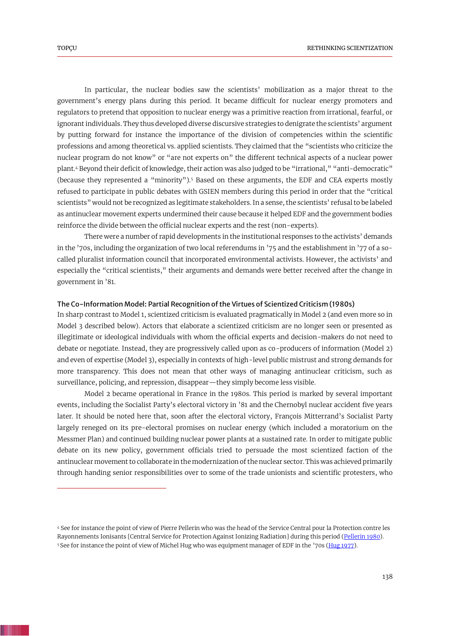In particular, the nuclear bodies saw the scientists' mobilization as a major threat to the government's energy plans during this period. It became difficult for nuclear energy promoters and regulators to pretend that opposition to nuclear energy was a primitive reaction from irrational, fearful, or ignorant individuals. They thus developed diverse discursive strategies to denigrate the scientists' argument by putting forward for instance the importance of the division of competencies within the scientific professions and among theoretical vs. applied scientists. They claimed that the "scientists who criticize the nuclear program do not know" or "are not experts on" the different technical aspects of a nuclear power plant.<sup>4</sup> Beyond their deficit of knowledge, their action was also judged to be "irrational," "anti-democratic" (because they represented a "minority").<sup>5</sup> Based on these arguments, the EDF and CEA experts mostly refused to participate in public debates with GSIEN members during this period in order that the "critical scientists" would not be recognized as legitimate stakeholders. In a sense, the scientists' refusal to be labeled as antinuclear movement experts undermined their cause because it helped EDF and the government bodies reinforce the divide between the official nuclear experts and the rest (non-experts).

There were a number of rapid developments in the institutional responses to the activists' demands in the '70s, including the organization of two local referendums in '75 and the establishment in '77 of a socalled pluralist information council that incorporated environmental activists. However, the activists' and especially the "critical scientists," their arguments and demands were better received after the change in government in '81.

## The Co-Information Model: Partial Recognition of the Virtues of Scientized Criticism (1980s)

In sharp contrast to Model 1, scientized criticism is evaluated pragmatically in Model 2 (and even more so in Model 3 described below). Actors that elaborate a scientized criticism are no longer seen or presented as illegitimate or ideological individuals with whom the official experts and decision-makers do not need to debate or negotiate. Instead, they are progressively called upon as co-producers of information (Model 2) and even of expertise (Model 3), especially in contexts of high-level public mistrust and strong demands for more transparency. This does not mean that other ways of managing antinuclear criticism, such as surveillance, policing, and repression, disappear—they simply become less visible.

Model 2 became operational in France in the 1980s. This period is marked by several important events, including the Socialist Party's electoral victory in '81 and the Chernobyl nuclear accident five years later. It should be noted here that, soon after the electoral victory, François Mitterrand's Socialist Party largely reneged on its pre-electoral promises on nuclear energy (which included a moratorium on the Messmer Plan) and continued building nuclear power plants at a sustained rate. In order to mitigate public debate on its new policy, government officials tried to persuade the most scientized faction of the antinuclear movement to collaborate in the modernization of the nuclear sector. This was achieved primarily through handing senior responsibilities over to some of the trade unionists and scientific protesters, who

<span id="page-10-0"></span><sup>4</sup> See for instance the point of view of Pierre Pellerin who was the head of the Service Central pour la Protection contre les Rayonnements Ionisants [Central Service for Protection Against Ionizing Radiation] during this period [\(Pellerin](#page-20-10) 1980). <sup>5</sup> See for instance the point of view of Michel Hug who was equipment manager of EDF in the '70s [\(Hug 1977\)](#page-18-13).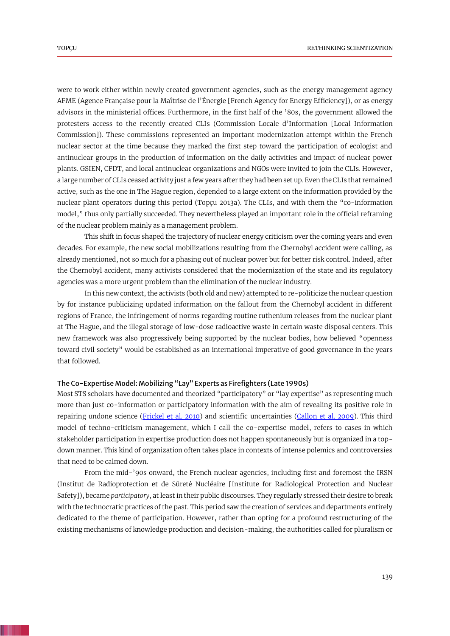were to work either within newly created government agencies, such as the energy management agency AFME (Agence Française pour la Maîtrise de l'Énergie [French Agency for Energy Efficiency]), or as energy advisors in the ministerial offices. Furthermore, in the first half of the '80s, the government allowed the protesters access to the recently created CLIs (Commission Locale d'Information [Local Information Commission]). These commissions represented an important modernization attempt within the French nuclear sector at the time because they marked the first step toward the participation of ecologist and antinuclear groups in the production of information on the daily activities and impact of nuclear power plants. GSIEN, CFDT, and local antinuclear organizations and NGOs were invited to join the CLIs. However, a large number of CLIs ceased activity just a few years after they had been set up. Even the CLIs that remained active, such as the one in The Hague region, depended to a large extent on the information provided by the nuclear plant operators during this period (Topçu 2013a). The CLIs, and with them the "co-information model," thus only partially succeeded. They nevertheless played an important role in the official reframing of the nuclear problem mainly as a management problem.

This shift in focus shaped the trajectory of nuclear energy criticism over the coming years and even decades. For example, the new social mobilizations resulting from the Chernobyl accident were calling, as already mentioned, not so much for a phasing out of nuclear power but for better risk control. Indeed, after the Chernobyl accident, many activists considered that the modernization of the state and its regulatory agencies was a more urgent problem than the elimination of the nuclear industry.

In this new context, the activists (both old and new) attempted to re-politicize the nuclear question by for instance publicizing updated information on the fallout from the Chernobyl accident in different regions of France, the infringement of norms regarding routine ruthenium releases from the nuclear plant at The Hague, and the illegal storage of low-dose radioactive waste in certain waste disposal centers. This new framework was also progressively being supported by the nuclear bodies, how believed "openness toward civil society" would be established as an international imperative of good governance in the years that followed.

# The Co-Expertise Model: Mobilizing "Lay" Experts as Firefighters (Late 1990s)

<span id="page-11-0"></span>Most STS scholars have documented and theorized "participatory" or "lay expertise" as representing much more than just co-information or participatory information with the aim of revealing its positive role in repairing undone science [\(Frickel et al. 2010\)](#page-18-14) and scientific uncertainties [\(Callon et al. 2009\)](#page-17-0). This third model of techno-criticism management, which I call the co-expertise model, refers to cases in which stakeholder participation in expertise production does not happen spontaneously but is organized in a topdown manner. This kind of organization often takes place in contexts of intense polemics and controversies that need to be calmed down.

From the mid-'90s onward, the French nuclear agencies, including first and foremost the IRSN (Institut de Radioprotection et de Sûreté Nucléaire [Institute for Radiological Protection and Nuclear Safety]), became *participatory*, at least in their public discourses. They regularly stressed their desire to break with the technocratic practices of the past. This period saw the creation of services and departments entirely dedicated to the theme of participation. However, rather than opting for a profound restructuring of the existing mechanisms of knowledge production and decision-making, the authorities called for pluralism or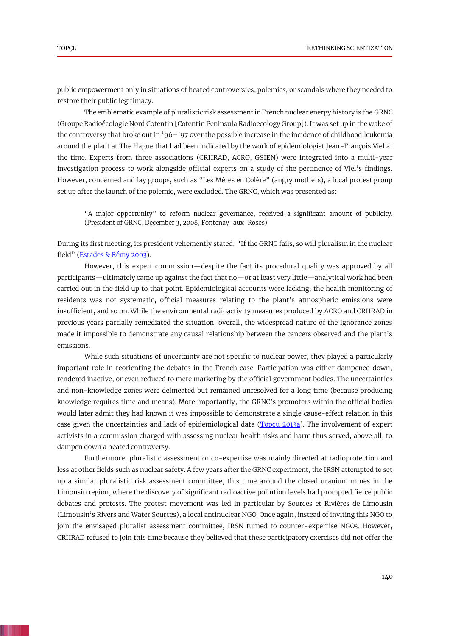public empowerment only in situations of heated controversies, polemics, or scandals where they needed to restore their public legitimacy.

The emblematic example of pluralistic risk assessment in French nuclear energy history is the GRNC (Groupe Radioécologie Nord Cotentin [Cotentin Peninsula Radioecology Group]). It was set up in the wake of the controversy that broke out in '96–'97 over the possible increase in the incidence of childhood leukemia around the plant at The Hague that had been indicated by the work of epidemiologist Jean-François Viel at the time. Experts from three associations (CRIIRAD, ACRO, GSIEN) were integrated into a multi-year investigation process to work alongside official experts on a study of the pertinence of Viel's findings. However, concerned and lay groups, such as "Les Mères en Colère" (angry mothers), a local protest group set up after the launch of the polemic, were excluded. The GRNC, which was presented as:

"A major opportunity" to reform nuclear governance, received a significant amount of publicity. (President of GRNC, December 3, 2008, Fontenay-aux-Roses)

During its first meeting, its president vehemently stated: "If the GRNC fails, so will pluralism in the nuclear field" [\(Estades & Rémy 2003\)](#page-18-15).

<span id="page-12-0"></span>However, this expert commission—despite the fact its procedural quality was approved by all participants—ultimately came up against the fact that no—or at least very little—analytical work had been carried out in the field up to that point. Epidemiological accounts were lacking, the health monitoring of residents was not systematic, official measures relating to the plant's atmospheric emissions were insufficient, and so on. While the environmental radioactivity measures produced by ACRO and CRIIRAD in previous years partially remediated the situation, overall, the widespread nature of the ignorance zones made it impossible to demonstrate any causal relationship between the cancers observed and the plant's emissions.

While such situations of uncertainty are not specific to nuclear power, they played a particularly important role in reorienting the debates in the French case. Participation was either dampened down, rendered inactive, or even reduced to mere marketing by the official government bodies. The uncertainties and non-knowledge zones were delineated but remained unresolved for a long time (because producing knowledge requires time and means). More importantly, the GRNC's promoters within the official bodies would later admit they had known it was impossible to demonstrate a single cause-effect relation in this case given the uncertainties and lack of epidemiological data (Topcu 2013a). The involvement of expert activists in a commission charged with assessing nuclear health risks and harm thus served, above all, to dampen down a heated controversy.

Furthermore, pluralistic assessment or co-expertise was mainly directed at radioprotection and less at other fields such as nuclear safety. A few years after the GRNC experiment, the IRSN attempted to set up a similar pluralistic risk assessment committee, this time around the closed uranium mines in the Limousin region, where the discovery of significant radioactive pollution levels had prompted fierce public debates and protests. The protest movement was led in particular by Sources et Rivières de Limousin (Limousin's Rivers and Water Sources), a local antinuclear NGO. Once again, instead of inviting this NGO to join the envisaged pluralist assessment committee, IRSN turned to counter-expertise NGOs. However, CRIIRAD refused to join this time because they believed that these participatory exercises did not offer the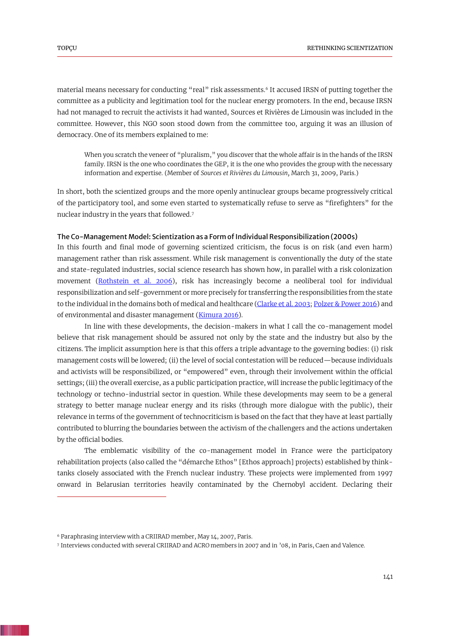material means necessary for conducting "real" risk assessments.<sup>6</sup> It accused IRSN of putting together the committee as a publicity and legitimation tool for the nuclear energy promoters. In the end, because IRSN had not managed to recruit the activists it had wanted, Sources et Rivières de Limousin was included in the committee. However, this NGO soon stood down from the committee too, arguing it was an illusion of democracy. One of its members explained to me:

When you scratch the veneer of "pluralism," you discover that the whole affair is in the hands of the IRSN family. IRSN is the one who coordinates the GEP, it is the one who provides the group with the necessary information and expertise. (Member of *Sources et Rivières du Limousin,* March 31, 2009, Paris.)

In short, both the scientized groups and the more openly antinuclear groups became progressively critical of the participatory tool, and some even started to systematically refuse to serve as "firefighters" for the nuclear industry in the years that followed.<sup>7</sup>

#### The Co-Management Model: Scientization as a Form of Individual Responsibilization (2000s)

<span id="page-13-2"></span>In this fourth and final mode of governing scientized criticism, the focus is on risk (and even harm) management rather than risk assessment. While risk management is conventionally the duty of the state and state-regulated industries, social science research has shown how, in parallel with a risk colonization movement [\(Rothstein et al. 2006\)](#page-20-11), risk has increasingly become a neoliberal tool for individual responsibilization and self-government or more precisely for transferring the responsibilities from the state to the individual in the domains both of medical and healthcare [\(Clarke et al. 2003;](#page-17-10) [Polzer & Power 2016\)](#page-20-12) and of environmental and disaster management [\(Kimura 2016\)](#page-19-6).

<span id="page-13-1"></span><span id="page-13-0"></span>In line with these developments, the decision-makers in what I call the co-management model believe that risk management should be assured not only by the state and the industry but also by the citizens. The implicit assumption here is that this offers a triple advantage to the governing bodies: (i) risk management costs will be lowered; (ii) the level of social contestation will be reduced—because individuals and activists will be responsibilized, or "empowered" even, through their involvement within the official settings; (iii) the overall exercise, as a public participation practice, will increase the public legitimacy of the technology or techno-industrial sector in question. While these developments may seem to be a general strategy to better manage nuclear energy and its risks (through more dialogue with the public), their relevance in terms of the government of technocriticism is based on the fact that they have at least partially contributed to blurring the boundaries between the activism of the challengers and the actions undertaken by the official bodies.

The emblematic visibility of the co-management model in France were the participatory rehabilitation projects (also called the "démarche Ethos" [Ethos approach] projects) established by thinktanks closely associated with the French nuclear industry. These projects were implemented from 1997 onward in Belarusian territories heavily contaminated by the Chernobyl accident. Declaring their

<sup>6</sup> Paraphrasing interview with a CRIIRAD member, May 14, 2007, Paris.

<sup>7</sup> Interviews conducted with several CRIIRAD and ACRO members in 2007 and in '08, in Paris, Caen and Valence.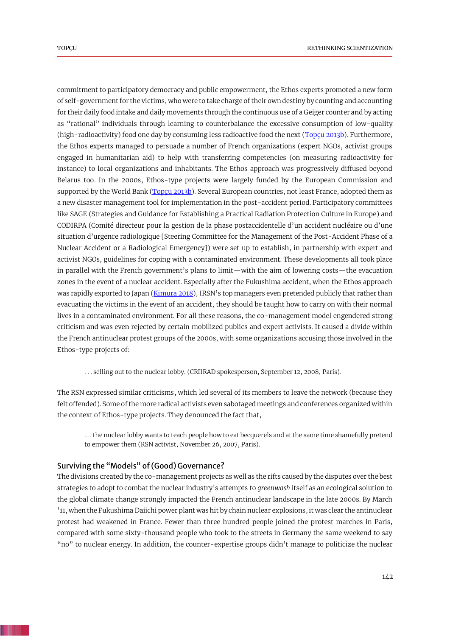<span id="page-14-1"></span>commitment to participatory democracy and public empowerment, the Ethos experts promoted a new form of self-government for the victims, who were to take charge of their own destiny by counting and accounting for their daily food intake and daily movements through the continuous use of a Geiger counter and by acting as "rational" individuals through learning to counterbalance the excessive consumption of low-quality (high-radioactivity) food one day by consuming less radioactive food the next (Topcu 2013b). Furthermore, the Ethos experts managed to persuade a number of French organizations (expert NGOs, activist groups engaged in humanitarian aid) to help with transferring competencies (on measuring radioactivity for instance) to local organizations and inhabitants. The Ethos approach was progressively diffused beyond Belarus too. In the 2000s, Ethos-type projects were largely funded by the European Commission and supported by the World Bank (Topcu 2013b). Several European countries, not least France, adopted them as a new disaster management tool for implementation in the post-accident period. Participatory committees like SAGE (Strategies and Guidance for Establishing a Practical Radiation Protection Culture in Europe) and CODIRPA (Comité directeur pour la gestion de la phase postaccidentelle d'un accident nucléaire ou d'une situation d'urgence radiologique [Steering Committee for the Management of the Post-Accident Phase of a Nuclear Accident or a Radiological Emergency]) were set up to establish, in partnership with expert and activist NGOs, guidelines for coping with a contaminated environment. These developments all took place in parallel with the French government's plans to limit—with the aim of lowering costs—the evacuation zones in the event of a nuclear accident. Especially after the Fukushima accident, when the Ethos approach was rapidly exported to Japan [\(Kimura 2018](#page-19-14)), IRSN's top managers even pretended publicly that rather than evacuating the victims in the event of an accident, they should be taught how to carry on with their normal lives in a contaminated environment. For all these reasons, the co-management model engendered strong criticism and was even rejected by certain mobilized publics and expert activists. It caused a divide within the French antinuclear protest groups of the 2000s, with some organizations accusing those involved in the Ethos-type projects of:

<span id="page-14-0"></span>. . . selling out to the nuclear lobby. (CRIIRAD spokesperson, September 12, 2008, Paris).

The RSN expressed similar criticisms, which led several of its members to leave the network (because they felt offended). Some of the more radical activists even sabotaged meetings and conferences organized within the context of Ethos-type projects. They denounced the fact that,

. . . the nuclear lobby wants to teach people how to eat becquerels and at the same time shamefully pretend to empower them (RSN activist, November 26, 2007, Paris).

# Surviving the "Models" of (Good) Governance?

The divisions created by the co-management projects as well as the rifts caused by the disputes over the best strategies to adopt to combat the nuclear industry's attempts to *greenwash* itself as an ecological solution to the global climate change strongly impacted the French antinuclear landscape in the late 2000s. By March '11, when the Fukushima Daiichi power plant was hit by chain nuclear explosions, it was clear the antinuclear protest had weakened in France. Fewer than three hundred people joined the protest marches in Paris, compared with some sixty-thousand people who took to the streets in Germany the same weekend to say "no" to nuclear energy. In addition, the counter-expertise groups didn't manage to politicize the nuclear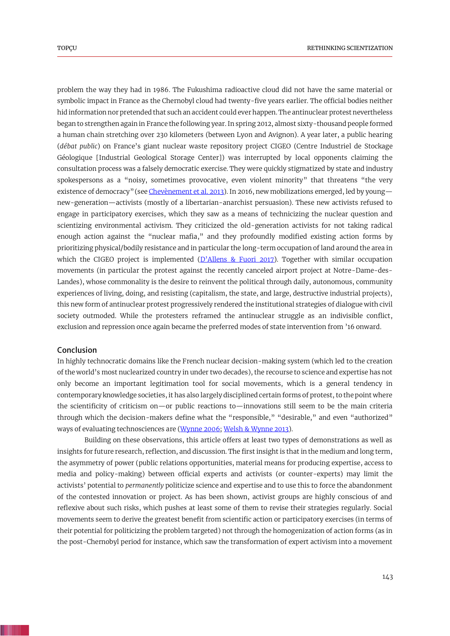<span id="page-15-0"></span>problem the way they had in 1986. The Fukushima radioactive cloud did not have the same material or symbolic impact in France as the Chernobyl cloud had twenty-five years earlier. The official bodies neither hid information nor pretended that such an accident could ever happen. The antinuclear protest nevertheless began to strengthen again in France the following year. In spring 2012, almost sixty-thousand people formed a human chain stretching over 230 kilometers (between Lyon and Avignon). A year later, a public hearing (*débat public*) on France's giant nuclear waste repository project CIGEO (Centre Industriel de Stockage Géologique [Industrial Geological Storage Center]) was interrupted by local opponents claiming the consultation process was a falsely democratic exercise. They were quickly stigmatized by state and industry spokespersons as a "noisy, sometimes provocative, even violent minority" that threatens "the very existence of democracy" (se[e Chevènement](#page-17-11) et al. 2013). In 2016, new mobilizations emerged, led by young new-generation—activists (mostly of a libertarian-anarchist persuasion). These new activists refused to engage in participatory exercises, which they saw as a means of technicizing the nuclear question and scientizing environmental activism. They criticized the old-generation activists for not taking radical enough action against the "nuclear mafia," and they profoundly modified existing action forms by prioritizing physical/bodily resistance and in particular the long-term occupation of land around the area in which the CIGEO project is implemented  $(D'$ Allens & Fuori 2017). Together with similar occupation movements (in particular the protest against the recently canceled airport project at Notre-Dame-des-Landes), whose commonality is the desire to reinvent the political through daily, autonomous, community experiences of living, doing, and resisting (capitalism, the state, and large, destructive industrial projects), this new form of antinuclear protest progressively rendered the institutional strategies of dialogue with civil society outmoded. While the protesters reframed the antinuclear struggle as an indivisible conflict, exclusion and repression once again became the preferred modes of state intervention from '16 onward.

#### <span id="page-15-1"></span>Conclusion

In highly technocratic domains like the French nuclear decision-making system (which led to the creation of the world's most nuclearized country in under two decades), the recourse to science and expertise has not only become an important legitimation tool for social movements, which is a general tendency in contemporary knowledge societies, it has also largely disciplined certain forms of protest, to the point where the scientificity of criticism on—or public reactions to—innovations still seem to be the main criteria through which the decision-makers define what the "responsible," "desirable," and even "authorized" ways of evaluating technosciences are (Wynne 2006[; Welsh & Wynne 2013\)](#page-20-3).

Building on these observations, this article offers at least two types of demonstrations as well as insights for future research, reflection, and discussion. The first insight is that in the medium and long term, the asymmetry of power (public relations opportunities, material means for producing expertise, access to media and policy-making) between official experts and activists (or counter-experts) may limit the activists' potential to *permanently* politicize science and expertise and to use this to force the abandonment of the contested innovation or project. As has been shown, activist groups are highly conscious of and reflexive about such risks, which pushes at least some of them to revise their strategies regularly. Social movements seem to derive the greatest benefit from scientific action or participatory exercises (in terms of their potential for politicizing the problem targeted) not through the homogenization of action forms (as in the post-Chernobyl period for instance, which saw the transformation of expert activism into a movement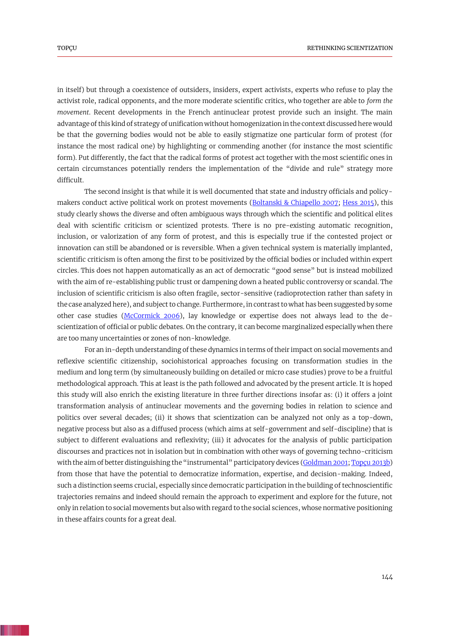in itself) but through a coexistence of outsiders, insiders, expert activists, experts who refuse to play the activist role, radical opponents, and the more moderate scientific critics, who together are able to *form the movement*. Recent developments in the French antinuclear protest provide such an insight. The main advantage of this kind of strategy of unification without homogenization in the context discussed here would be that the governing bodies would not be able to easily stigmatize one particular form of protest (for instance the most radical one) by highlighting or commending another (for instance the most scientific form). Put differently, the fact that the radical forms of protest act together with the most scientific ones in certain circumstances potentially renders the implementation of the "divide and rule" strategy more difficult.

The second insight is that while it is well documented that state and industry officials and policy-makers conduct active political work on protest movements [\(Boltanski & Chiapello 2007;](#page-17-4) [Hess 2015\)](#page-18-0), this study clearly shows the diverse and often ambiguous ways through which the scientific and political elites deal with scientific criticism or scientized protests. There is no pre-existing automatic recognition, inclusion, or valorization of any form of protest, and this is especially true if the contested project or innovation can still be abandoned or is reversible. When a given technical system is materially implanted, scientific criticism is often among the first to be positivized by the official bodies or included within expert circles. This does not happen automatically as an act of democratic "good sense" but is instead mobilized with the aim of re-establishing public trust or dampening down a heated public controversy or scandal. The inclusion of scientific criticism is also often fragile, sector-sensitive (radioprotection rather than safety in the case analyzed here), and subject to change. Furthermore, in contrast to what has been suggested by some other case studies [\(McCormick 2006\)](#page-19-8), lay knowledge or expertise does not always lead to the descientization of official or public debates. On the contrary, it can become marginalized especially when there are too many uncertainties or zones of non-knowledge.

For an in-depth understanding of these dynamics in terms of their impact on social movements and reflexive scientific citizenship, sociohistorical approaches focusing on transformation studies in the medium and long term (by simultaneously building on detailed or micro case studies) prove to be a fruitful methodological approach. This at least is the path followed and advocated by the present article. It is hoped this study will also enrich the existing literature in three further directions insofar as: (i) it offers a joint transformation analysis of antinuclear movements and the governing bodies in relation to science and politics over several decades; (ii) it shows that scientization can be analyzed not only as a top-down, negative process but also as a diffused process (which aims at self-government and self-discipline) that is subject to different evaluations and reflexivity; (iii) it advocates for the analysis of public participation discourses and practices not in isolation but in combination with other ways of governing techno-criticism with the aim of better distinguishing the "instrumental" participatory devices [\(Goldman 2001;](#page-18-4) [Topçu 2013b\)](#page-20-13) from those that have the potential to democratize information, expertise, and decision-making. Indeed, such a distinction seems crucial, especially since democratic participation in the building of technoscientific trajectories remains and indeed should remain the approach to experiment and explore for the future, not only in relation to social movements but also with regard to the social sciences, whose normative positioning in these affairs counts for a great deal.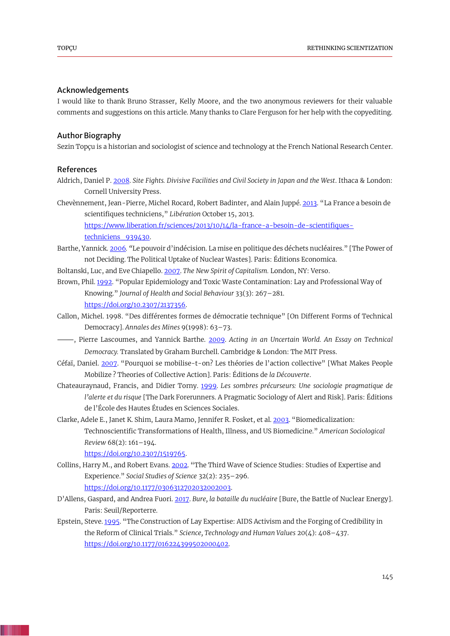## Acknowledgements

I would like to thank Bruno Strasser, Kelly Moore, and the two anonymous reviewers for their valuable comments and suggestions on this article. Many thanks to Clare Ferguson for her help with the copyediting.

# Author Biography

Sezin Topçu is a historian and sociologist of science and technology at the French National Research Center.

## References

- Aldrich, Daniel P. [2008.](#page-2-0) *Site Fights. Divisive Facilities and Civil Society in Japan and the West*. Ithaca & London: Cornell University Press.
- Chevènnement, Jean-Pierre, Michel Rocard, Robert Badinter, and Alain Juppé[. 2013.](#page-15-0) "La France a besoin de scientifiques techniciens," *Libération* October 15, 2013.

<span id="page-17-11"></span><span id="page-17-9"></span><span id="page-17-5"></span><span id="page-17-4"></span>[https://www.liberation.fr/sciences/2013/10/14/la-france-a-besoin-de-scientifiques](https://www.liberation.fr/sciences/2013/10/14/la-france-a-besoin-de-scientifiques-techniciens_939430)techniciens 939430.

Barthe, Yannick[. 2006](#page-9-0)*. "*Le pouvoir d'indécision. La mise en politique des déchets nucléaires." [The Power of not Deciding. The Political Uptake of Nuclear Wastes]. Paris: Éditions Economica.

Boltanski, Luc, and Eve Chiapello[. 2007.](#page-2-1) *The New Spirit of Capitalism.* London, NY: Verso.

- <span id="page-17-2"></span>Brown, Phil[. 1992](#page-1-0). "Popular Epidemiology and Toxic Waste Contamination: Lay and Professional Way of Knowing." *Journal of Health and Social Behaviour* 33(3): 267–281. [https://doi.org/10.2307/2137356.](https://doi.org/10.2307/2137356)
- <span id="page-17-8"></span>Callon, Michel. [1998](#page-9-1). "Des différentes formes de démocratie technique" [On Different Forms of Technical Democracy]. *Annales des Mines* 9(1998): 63–73.
- <span id="page-17-0"></span>⸻, Pierre Lascoumes, and Yannick Barthe. [2009.](#page-1-1) *Acting in an Uncertain World. An Essay on Technical Democracy.* Translated by Graham Burchell. Cambridge & London: The MIT Press.
- <span id="page-17-6"></span>Céfaï, Daniel. [2007.](#page-4-0) "Pourquoi se mobilise-t-on? Les théories de l'action collective" [What Makes People Mobilize ? Theories of Collective Action]. Paris: Éditions de *la Découverte*.
- Chateauraynaud, Francis, and Didier Torny. [1999.](#page-7-0) *Les sombres précurseurs: Une sociologie pragmatique de l'alerte et du risque* [The Dark Forerunners. A Pragmatic Sociology of Alert and Risk]. Paris: Éditions de l'École des Hautes Études en Sciences Sociales.
- Clarke, Adele E., Janet K. Shim, Laura Mamo, Jennifer R. Fosket, et al[. 2003](#page-13-0). "Biomedicalization: Technoscientific Transformations of Health, Illness, and US Biomedicine." *American Sociological Review* 68(2): 161–194.

<span id="page-17-12"></span><span id="page-17-10"></span><span id="page-17-7"></span><span id="page-17-1"></span>[https://doi.org/10.2307/1519765.](https://doi.org/10.2307/1519765)

- Collins, Harry M., and Robert Evans[. 2002](#page-1-2). "The Third Wave of Science Studies: Studies of Expertise and Experience." *Social Studies of Science* 32(2): 235–296. [https://doi.org/10.1177/0306312702032002003.](https://doi.org/10.1177/0306312702032002003)
- D'Allens, Gaspard, and Andrea Fuori. [2017.](#page-15-1) *Bure, la bataille du nucléaire* [Bure, the Battle of Nuclear Energy]. Paris: Seuil/Reporterre.
- <span id="page-17-3"></span>Epstein, Steve[. 1995](#page-1-3). "The Construction of Lay Expertise: AIDS Activism and the Forging of Credibility in the Reform of Clinical Trials." *Science, Technology and Human Values* 20(4): 408–437. [https://doi.org/10.1177/016224399502000402.](https://doi.org/10.1177/016224399502000402)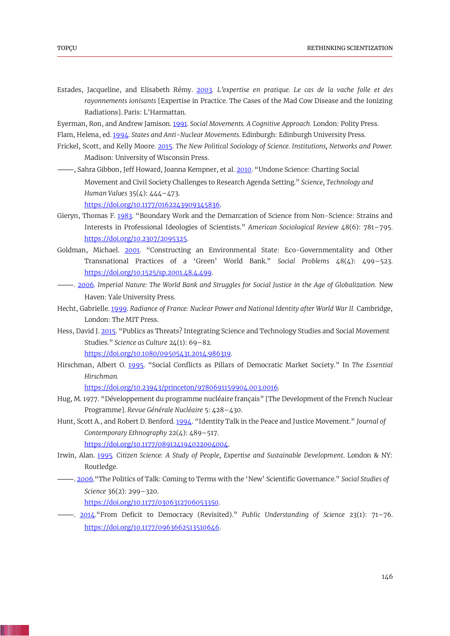- <span id="page-18-15"></span>Estades, Jacqueline, and Elisabeth Rémy. [2003](#page-12-0)*. L'expertise en pratique. Le cas de la vache folle et des rayonnements ionisants* [Expertise in Practice. The Cases of the Mad Cow Disease and the Ionizing Radiations]. Paris: L'Harmattan.
- <span id="page-18-2"></span>Eyerman, Ron, and Andrew Jamison. [1991.](#page-1-4) *Social Movements. A Cognitive Approach.* London: Polity Press.
- <span id="page-18-8"></span>Flam, Helena, ed. [1994.](#page-5-0) *States and Anti-Nuclear Movements*. Edinburgh: Edinburgh University Press.
- <span id="page-18-3"></span>Frickel, Scott, and Kelly Moore. [2015.](#page-1-5) *The New Political Sociology of Science. Institutions, Networks and Power.*  Madison: University of Wisconsin Press.
- <span id="page-18-14"></span>⸻, Sahra Gibbon, Jeff Howard, Joanna Kempner, et al[. 2010](#page-11-0). "Undone Science: Charting Social Movement and Civil Society Challenges to Research Agenda Setting." *Science, Technology and Human Values* 35(4): 444–473. [https://doi.org/10.1177/0162243909345836.](https://doi.org/10.1177/0162243909345836)
- <span id="page-18-12"></span>Gieryn, Thomas F. [1983](#page-9-2). "Boundary Work and the Demarcation of Science from Non-Science: Strains and Interests in Professional Ideologies of Scientists." *American Sociological Review* 48(6): 781–795. [https://doi.org/10.2307/2095325.](https://doi.org/10.2307/2095325)
- <span id="page-18-4"></span>Goldman, Michael. [2001](#page-2-2). "Constructing an Environmental State: Eco-Governmentality and Other Transnational Practices of a 'Green' World Bank." *Social Problems* 48(4): 499–523. [https://doi.org/10.1525/sp.2001.48.4.499.](https://doi.org/10.1525/sp.2001.48.4.499)
- <span id="page-18-5"></span>⸻. [2006.](#page-2-3) *Imperial Nature: The World Bank and Struggles for Social Justice in the Age of Globalization.* New Haven: Yale University Press.
- Hecht, Gabrielle[. 1999.](#page-5-1) *Radiance of France: Nuclear Power and National Identity after World War II.* Cambridge, London: The MIT Press.
- Hess, David J. [2015](#page-1-6). "Publics as Threats? Integrating Science and Technology Studies and Social Movement Studies." *Science as Culture* 24(1): 69–82.

<span id="page-18-7"></span><span id="page-18-6"></span><span id="page-18-0"></span>[https://doi.org/10.1080/09505431.2014.986319.](https://doi.org/10.1080/09505431.2014.986319)

Hirschman, Albert O. [1995](#page-3-0). "Social Conflicts as Pillars of Democratic Market Society." In *The Essential Hirschman.*

<span id="page-18-13"></span><span id="page-18-9"></span>[https://doi.org/10.23943/princeton/9780691159904.003.0016.](https://doi.org/10.23943/princeton/9780691159904.003.0016)

- Hug, M. 1977. "Développement du programme nucléaire français" [The Development of the French Nuclear Programme]. *Revue Générale Nucléaire* 5: 428–430.
- Hunt, Scott A., and Robert D. Benford[. 1994](#page-6-0). "Identity Talk in the Peace and Justice Movement." *Journal of Contemporary Ethnography* 22(4): 489–517. [https://doi.org/10.1177/089124194022004004.](https://doi.org/10.1177/089124194022004004)

<span id="page-18-1"></span>

- Irwin, Alan. [1995](#page-1-7)*. Citizen Science: A Study of People, Expertise and Sustainable Development*. London & NY: Routledge.
- <span id="page-18-10"></span>⸻. [2006](#page-9-3)."The Politics of Talk: Coming to Terms with the 'New' Scientific Governance." *Social Studies of Science* 36(2): 299–320.

<span id="page-18-11"></span>[https://doi.org/10.1177/0306312706053350.](https://doi.org/10.1177/0306312706053350)

⸻. [2014](#page-9-4)."From Deficit to Democracy (Revisited)." *Public Understanding of Science* 23(1): 71–76. [https://doi.org/10.1177/0963662513510646.](https://doi.org/10.1177/0963662513510646)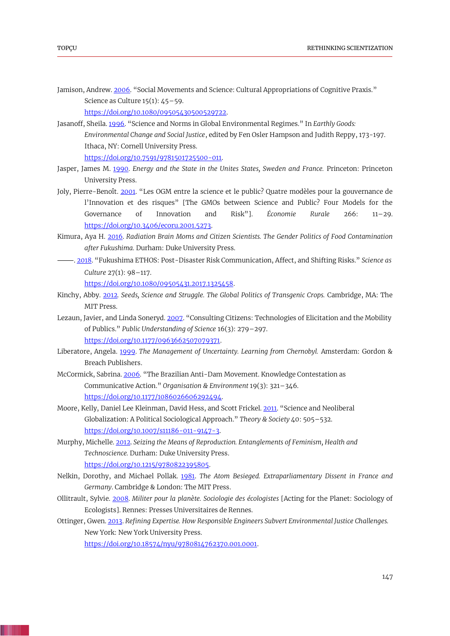Jamison, Andrew[. 2006](#page-1-8). "Social Movements and Science: Cultural Appropriations of Cognitive Praxis." Science as Culture  $15(1)$ :  $45-59$ .

<span id="page-19-7"></span><span id="page-19-1"></span>[https://doi.org/10.1080/09505430500529722.](https://doi.org/10.1080/09505430500529722)

Jasanoff, Sheila[. 1996](#page-3-1). "Science and Norms in Global Environmental Regimes." In *Earthly Goods: Environmental Change and Social Justice*, edited by Fen Osler Hampson and Judith Reppy, 173-197. Ithaca, NY: Cornell University Press.

<span id="page-19-13"></span><span id="page-19-10"></span>[https://doi.org/10.7591/9781501725500-011.](https://doi.org/10.7591/9781501725500-011)

- Jasper, James M. [1990.](#page-5-2) *Energy and the State in the Unites States, Sweden and France.* Princeton: Princeton University Press.
- Joly, Pierre-Benoît. [2001](#page-9-5). "Les OGM entre la science et le public? Quatre modèles pour la gouvernance de l'Innovation et des risques" [The GMOs between Science and Public? Four Models for the Governance of Innovation and Risk"]. *Économie Rurale* 266: 11–29. [https://doi.org/10.3406/ecoru.2001.5273.](https://doi.org/10.3406/ecoru.2001.5273)
- <span id="page-19-6"></span>Kimura, Aya H. [2016.](#page-3-2) *Radiation Brain Moms and Citizen Scientists. The Gender Politics of Food Contamination after Fukushima.* Durham: Duke University Press.
- <span id="page-19-14"></span>⸻. [2018](#page-14-0). "Fukushima ETHOS: Post-Disaster Risk Communication, Affect, and Shifting Risks." *Science as Culture* 27(1): 98–117.

<span id="page-19-4"></span><span id="page-19-3"></span>[https://doi.org/10.1080/09505431.2017.1325458.](https://doi.org/10.1080/09505431.2017.1325458)

- Kinchy, Abby. [2012](#page-1-9)*. Seeds, Science and Struggle. The Global Politics of Transgenic Crops.* Cambridge, MA: The MIT Press.
- Lezaun, Javier, and Linda Soneryd. [2007](#page-1-10). "Consulting Citizens: Technologies of Elicitation and the Mobility of Publics." *Public Understanding of Science* 16(3): 279–297. [https://doi.org/10.1177/0963662507079371.](https://doi.org/10.1177/0963662507079371)
- <span id="page-19-11"></span>Liberatore, Angela. [1999.](#page-6-1) *The Management of Uncertainty. Learning from Chernobyl.* Amsterdam: Gordon & Breach Publishers.
- <span id="page-19-8"></span>McCormick, Sabrina. [2006](#page-3-3). "The Brazilian Anti-Dam Movement. Knowledge Contestation as Communicative Action." *Organisation & Environment* 19(3): 321–346. [https://doi.org/10.1177/1086026606292494.](https://doi.org/10.1177/1086026606292494)
- <span id="page-19-0"></span>Moore, Kelly, Daniel Lee Kleinman, David Hess, and Scott Frickel[. 2011](#page-1-11). "Science and Neoliberal Globalization: A Political Sociological Approach." *Theory & Society* 40: 505–532. [https://doi.org/10.1007/s11186-011-9147-3.](https://doi.org/10.1007/s11186-011-9147-3)
- <span id="page-19-12"></span>Murphy, Michelle[. 2012.](#page-7-1) *Seizing the Means of Reproduction. Entanglements of Feminism, Health and Technoscience.* Durham: Duke University Press. [https://doi.org/10.1215/9780822395805.](https://doi.org/10.1215/9780822395805)
- Nelkin, Dorothy, and Michael Pollak. [1981.](#page-5-3) *The Atom Besieged. Extraparliamentary Dissent in France and Germany*. Cambridge & London: The MIT Press.
- Ollitrault, Sylvie. [2008.](#page-1-12) *Militer pour la planète. Sociologie des écologistes* [Acting for the Planet: Sociology of Ecologists]. Rennes: Presses Universitaires de Rennes.
- Ottinger, Gwen. [2013.](#page-3-4) *Refining Expertise. How Responsible Engineers Subvert Environmental Justice Challenges.*  New York: New York University Press.

<span id="page-19-9"></span><span id="page-19-5"></span><span id="page-19-2"></span>[https://doi.org/10.18574/nyu/9780814762370.001.0001.](https://doi.org/10.18574/nyu/9780814762370.001.0001)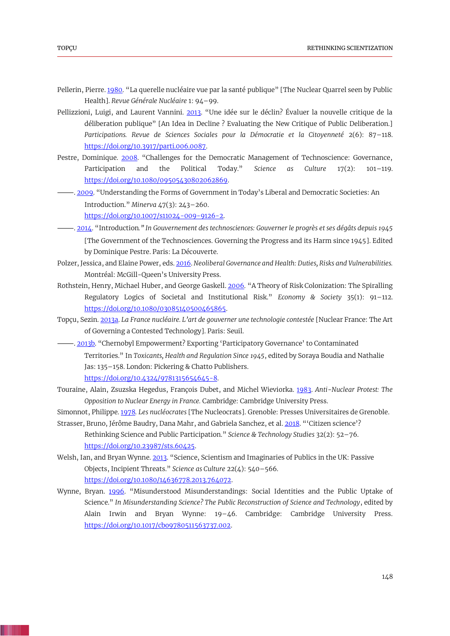- <span id="page-20-10"></span>Pellerin, Pierre[. 1980.](#page-10-0) "La querelle nucléaire vue par la santé publique" [The Nuclear Quarrel seen by Public Health]. *Revue Générale Nucléaire* 1: 94–99.
- <span id="page-20-5"></span>Pellizzioni, Luigi, and Laurent Vannini. [2013](#page-1-13). "Une idée sur le déclin? Évaluer la nouvelle critique de la déliberation publique" [An Idea in Decline ? Evaluating the New Critique of Public Deliberation.] *Participations. Revue de Sciences Sociales pour la Démocratie et la Citoyenneté* 2(6): 87–118. [https://doi.org/10.3917/parti.006.0087.](https://doi.org/10.3917/parti.006.0087)
- <span id="page-20-1"></span>Pestre, Dominique. [2008](#page-1-14). "Challenges for the Democratic Management of Technoscience: Governance, Participation and the Political Today." *Science as Culture* 17(2): 101–119. [https://doi.org/10.1080/09505430802062869.](https://doi.org/10.1080/09505430802062869)
- <span id="page-20-4"></span>⸻. [2009](#page-1-15). "Understanding the Forms of Government in Today's Liberal and Democratic Societies: An Introduction." *Minerva* 47(3): 243–260. [https://doi.org/10.1007/s11024-009-9126-2.](https://doi.org/10.1007/s11024-009-9126-2)
- <span id="page-20-6"></span>⸻. [2014](#page-2-4). "Introduction*." In Gouvernement des technosciences: Gouverner le progrès et ses dégâts depuis 1945*  [The Government of the Technosciences. Governing the Progress and its Harm since 1945]. Edited by Dominique Pestre. Paris: La Découverte.
- <span id="page-20-12"></span>Polzer, Jessica, and Elaine Power, eds. [2016.](#page-13-1) *Neoliberal Governance and Health: Duties, Risks and Vulnerabilities.* Montréal: McGill-Queen's University Press.
- <span id="page-20-11"></span>Rothstein, Henry, Michael Huber, and George Gaskell[. 2006](#page-13-2). "A Theory of Risk Colonization: The Spiralling Regulatory Logics of Societal and Institutional Risk." *Economy & Society* 35(1): 91–112. [https://doi.org/10.1080/03085140500465865.](https://doi.org/10.1080/03085140500465865)
- <span id="page-20-8"></span>Topçu, Sezin. [2013a.](#page-5-4) *La France nucléaire. L'art de gouverner une technologie contestée* [Nuclear France: The Art of Governing a Contested Technology]. Paris: Seuil.
- <span id="page-20-13"></span>⸻. [2013b](#page-14-1). "Chernobyl Empowerment? Exporting 'Participatory Governance' to Contaminated Territories." In *Toxicants, Health and Regulation Since 1945*, edited by Soraya Boudia and Nathalie Jas: 135–158. London: Pickering & Chatto Publishers. [https://doi.org/10.4324/9781315654645-8.](https://doi.org/10.4324/9781315654645-8)
- <span id="page-20-9"></span>Touraine, Alain, Zsuzska Hegedus, François Dubet, and Michel Wieviorka. [1983.](#page-5-5) *Anti-Nuclear Protest: The Opposition to Nuclear Energy in France.* Cambridge: Cambridge University Press.
- <span id="page-20-7"></span>Simonnot, Philippe. [1978](#page-5-6)*. Les nucléocrates* [The Nucleocrats]. Grenoble: Presses Universitaires de Grenoble.
- <span id="page-20-0"></span>Strasser, Bruno, Jérôme Baudry, Dana Mahr, and Gabriela Sanchez, et al. [2018](#page-1-16). "'Citizen science'? Rethinking Science and Public Participation." *Science & Technology Studies* 32(2): 52–76. [https://doi.org/10.23987/sts.60425.](https://doi.org/10.23987/sts.60425)
- <span id="page-20-3"></span>Welsh, Ian, and Bryan Wynne. [2013](#page-1-17). "Science, Scientism and Imaginaries of Publics in the UK: Passive Objects, Incipient Threats." *Science as Culture* 22(4): 540–566. [https://doi.org/10.1080/14636778.2013.764072.](https://doi.org/10.1080/14636778.2013.764072)
- <span id="page-20-2"></span>Wynne, Bryan. [1996](#page-1-18). "Misunderstood Misunderstandings: Social Identities and the Public Uptake of Science." *In Misunderstanding Science? The Public Reconstruction of Science and Technology*, edited by Alain Irwin and Bryan Wynne: 19–46. Cambridge: Cambridge University Press. [https://doi.org/10.1017/cbo9780511563737.002.](https://doi.org/10.1017/cbo9780511563737.002)